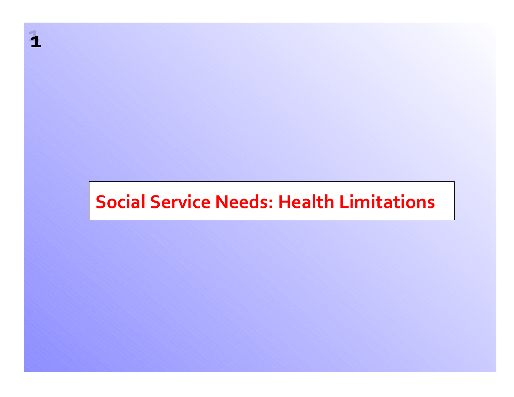## **Social Service Needs: Health Limitations**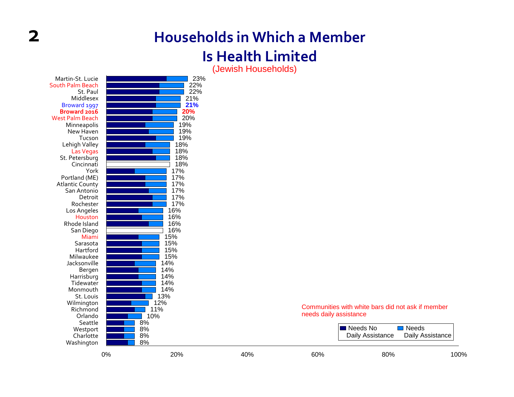## **Households in Which <sup>a</sup> Member**

#### **Is Health Limited**

(Jewish Households)

| Martin-St. Lucie        |    | 23%        |     |                        |                                                   |                      |
|-------------------------|----|------------|-----|------------------------|---------------------------------------------------|----------------------|
| South Palm Beach        |    | 22%        |     |                        |                                                   |                      |
| St. Paul                |    | 22%        |     |                        |                                                   |                      |
| Middlesex               |    | 21%        |     |                        |                                                   |                      |
| Broward 1997            |    | 21%        |     |                        |                                                   |                      |
| Broward 2016            |    | 20%        |     |                        |                                                   |                      |
| <b>West Palm Beach</b>  |    | 20%        |     |                        |                                                   |                      |
| Minneapolis             |    | 19%        |     |                        |                                                   |                      |
| New Haven               |    | 19%        |     |                        |                                                   |                      |
| Tucson                  |    | 19%        |     |                        |                                                   |                      |
| Lehigh Valley           |    | 18%        |     |                        |                                                   |                      |
| <b>Las Vegas</b>        |    | 18%        |     |                        |                                                   |                      |
| St. Petersburg          |    | 18%        |     |                        |                                                   |                      |
| Cincinnati              |    | 18%        |     |                        |                                                   |                      |
| York                    |    | 17%        |     |                        |                                                   |                      |
| Portland (ME)           |    | 17%        |     |                        |                                                   |                      |
| <b>Atlantic County</b>  |    | 17%        |     |                        |                                                   |                      |
| San Antonio             |    | 17%        |     |                        |                                                   |                      |
| Detroit                 |    | 17%        |     |                        |                                                   |                      |
| Rochester               |    | 17%        |     |                        |                                                   |                      |
| Los Angeles             |    | 16%        |     |                        |                                                   |                      |
| Houston                 |    | 16%        |     |                        |                                                   |                      |
| Rhode Island            |    | 16%        |     |                        |                                                   |                      |
| San Diego               |    | 16%        |     |                        |                                                   |                      |
| Miami                   |    | 15%        |     |                        |                                                   |                      |
| Sarasota                |    | 15%        |     |                        |                                                   |                      |
| Hartford                |    | 15%        |     |                        |                                                   |                      |
| Milwaukee               |    | 15%        |     |                        |                                                   |                      |
| Jacksonville            |    | 14%        |     |                        |                                                   |                      |
| Bergen                  |    | 14%<br>14% |     |                        |                                                   |                      |
| Harrisburg<br>Tidewater |    | 14%        |     |                        |                                                   |                      |
| Monmouth                |    | 14%        |     |                        |                                                   |                      |
| St. Louis               |    | 13%        |     |                        |                                                   |                      |
| Wilmington              |    | 12%        |     |                        |                                                   |                      |
| Richmond                |    | 11%        |     |                        | Communities with white bars did not ask if member |                      |
| Orlando                 |    | 10%        |     | needs daily assistance |                                                   |                      |
| Seattle                 |    | 8%         |     |                        |                                                   |                      |
| Westport                |    | 8%         |     |                        | Needs No                                          | $\blacksquare$ Needs |
| Charlotte               |    | 8%         |     |                        | Daily Assistance                                  | Daily Assistance     |
| Washington              |    | 8%         |     |                        |                                                   |                      |
|                         |    |            |     |                        |                                                   |                      |
|                         | 0% | 20%        | 40% | 60%                    | 80%                                               | 100%                 |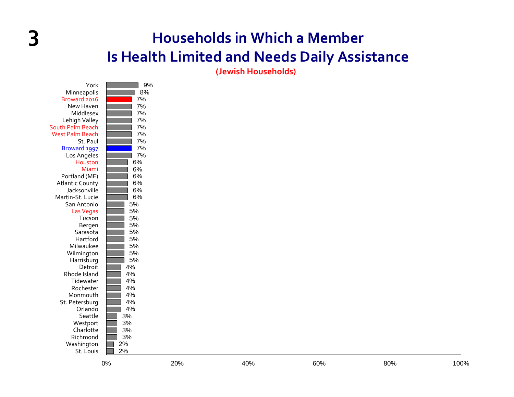#### **3 Households in Which <sup>a</sup> Member Is Health Limited and Needs Daily Assistance**

**(Jewish Households)**

|                        | 0%    | 20% | 40% | 60% | 80% | 100% |
|------------------------|-------|-----|-----|-----|-----|------|
| St. Louis              | 2%    |     |     |     |     |      |
| Washington             | $2\%$ |     |     |     |     |      |
| Richmond               | 3%    |     |     |     |     |      |
| Charlotte              | 3%    |     |     |     |     |      |
| Westport               | $3%$  |     |     |     |     |      |
| Seattle                | 3%    |     |     |     |     |      |
| Orlando                | 4%    |     |     |     |     |      |
| St. Petersburg         | $4\%$ |     |     |     |     |      |
| Monmouth               | 4%    |     |     |     |     |      |
| Rochester              | 4%    |     |     |     |     |      |
| Tidewater              | $4\%$ |     |     |     |     |      |
| Rhode Island           | $4\%$ |     |     |     |     |      |
| Detroit                | 4%    |     |     |     |     |      |
| Harrisburg             | 5%    |     |     |     |     |      |
| Wilmington             | $5\%$ |     |     |     |     |      |
| Milwaukee              | 5%    |     |     |     |     |      |
| Hartford               | 5%    |     |     |     |     |      |
| Sarasota               | $5%$  |     |     |     |     |      |
| Bergen                 | $5%$  |     |     |     |     |      |
| Tucson                 | 5%    |     |     |     |     |      |
| <b>Las Vegas</b>       | $5%$  |     |     |     |     |      |
| San Antonio            | $5%$  |     |     |     |     |      |
| Martin-St. Lucie       | $6\%$ |     |     |     |     |      |
| Jacksonville           | $6\%$ |     |     |     |     |      |
| <b>Atlantic County</b> | 6%    |     |     |     |     |      |
| Portland (ME)          | $6\%$ |     |     |     |     |      |
| Miami                  | 6%    |     |     |     |     |      |
| Houston                | 6%    |     |     |     |     |      |
| Los Angeles            | 7%    |     |     |     |     |      |
| Broward 1997           | 7%    |     |     |     |     |      |
| St. Paul               | 7%    |     |     |     |     |      |
| <b>West Palm Beach</b> | 7%    |     |     |     |     |      |
| South Palm Beach       | 7%    |     |     |     |     |      |
| Lehigh Valley          | 7%    |     |     |     |     |      |
| Middlesex              | 7%    |     |     |     |     |      |
| New Haven              | 7%    |     |     |     |     |      |
| Broward 2016           | 7%    |     |     |     |     |      |
| Minneapolis            | 8%    |     |     |     |     |      |
| York                   | 9%    |     |     |     |     |      |
|                        |       |     |     |     |     |      |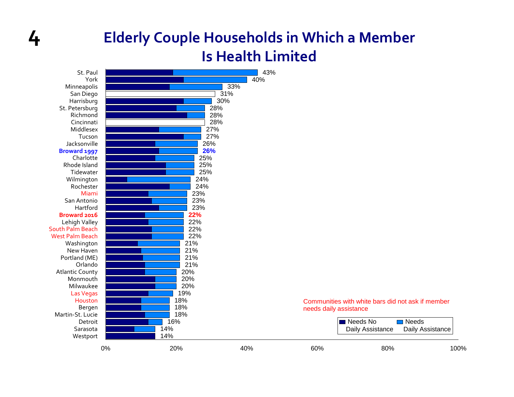#### **4 Elderly Couple Households in Which <sup>a</sup> Member Is Health Limited**

| St. Paul               |    |     | 43% |                        |                                                   |                      |
|------------------------|----|-----|-----|------------------------|---------------------------------------------------|----------------------|
| York                   |    |     | 40% |                        |                                                   |                      |
| Minneapolis            |    | 33% |     |                        |                                                   |                      |
| San Diego              |    | 31% |     |                        |                                                   |                      |
| Harrisburg             |    | 30% |     |                        |                                                   |                      |
| St. Petersburg         |    | 28% |     |                        |                                                   |                      |
| Richmond               |    | 28% |     |                        |                                                   |                      |
| Cincinnati             |    | 28% |     |                        |                                                   |                      |
| Middlesex              |    | 27% |     |                        |                                                   |                      |
| Tucson                 |    | 27% |     |                        |                                                   |                      |
| Jacksonville           |    | 26% |     |                        |                                                   |                      |
| Broward 1997           |    | 26% |     |                        |                                                   |                      |
| Charlotte              |    | 25% |     |                        |                                                   |                      |
| Rhode Island           |    | 25% |     |                        |                                                   |                      |
| Tidewater              |    | 25% |     |                        |                                                   |                      |
| Wilmington             |    | 24% |     |                        |                                                   |                      |
| Rochester              |    | 24% |     |                        |                                                   |                      |
| Miami                  |    | 23% |     |                        |                                                   |                      |
| San Antonio            |    | 23% |     |                        |                                                   |                      |
| Hartford               |    | 23% |     |                        |                                                   |                      |
| Broward 2016           |    | 22% |     |                        |                                                   |                      |
| Lehigh Valley          |    | 22% |     |                        |                                                   |                      |
| South Palm Beach       |    | 22% |     |                        |                                                   |                      |
| <b>West Palm Beach</b> |    | 22% |     |                        |                                                   |                      |
| Washington             |    | 21% |     |                        |                                                   |                      |
| New Haven              |    | 21% |     |                        |                                                   |                      |
| Portland (ME)          |    | 21% |     |                        |                                                   |                      |
| Orlando                |    | 21% |     |                        |                                                   |                      |
| <b>Atlantic County</b> |    | 20% |     |                        |                                                   |                      |
| Monmouth               |    | 20% |     |                        |                                                   |                      |
| Milwaukee              |    | 20% |     |                        |                                                   |                      |
| <b>Las Vegas</b>       |    | 19% |     |                        |                                                   |                      |
| Houston                |    | 18% |     |                        | Communities with white bars did not ask if member |                      |
| Bergen                 |    | 18% |     | needs daily assistance |                                                   |                      |
| Martin-St. Lucie       |    | 18% |     |                        |                                                   |                      |
| Detroit                |    | 16% |     |                        | Meeds No                                          | $\blacksquare$ Needs |
| Sarasota               |    | 14% |     |                        | Daily Assistance                                  | Daily Assistance     |
| Westport               |    | 14% |     |                        |                                                   |                      |
|                        |    |     |     |                        |                                                   |                      |
|                        | 0% | 20% | 40% | 60%                    | 80%                                               | 100%                 |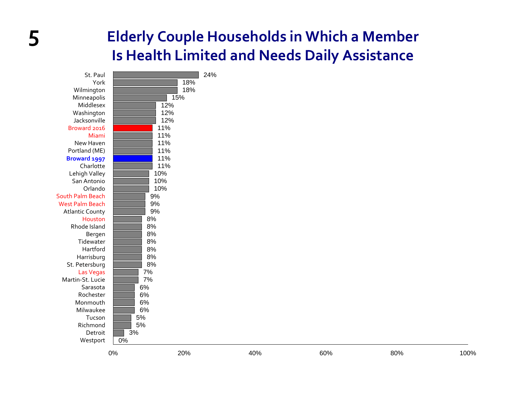#### **5 Elderly Couple Households in Which <sup>a</sup> Member Is Health Limited and Needs Daily Assistance**

| St. Paul               |     | 24% |
|------------------------|-----|-----|
| York                   | 18% |     |
| Wilmington             | 18% |     |
| Minneapolis            | 15% |     |
| Middlesex              | 12% |     |
| Washington             | 12% |     |
| Jacksonville           | 12% |     |
| Broward 2016           | 11% |     |
| Miami                  | 11% |     |
| New Haven              | 11% |     |
| Portland (ME)          | 11% |     |
| Broward 1997           | 11% |     |
| Charlotte              | 11% |     |
| Lehigh Valley          | 10% |     |
| San Antonio            | 10% |     |
| Orlando                | 10% |     |
| South Palm Beach       | 9%  |     |
| <b>West Palm Beach</b> | 9%  |     |
| <b>Atlantic County</b> | 9%  |     |
| Houston                | 8%  |     |
| Rhode Island           | 8%  |     |
| Bergen                 | 8%  |     |
| Tidewater              | 8%  |     |
| Hartford               | 8%  |     |
| Harrisburg             | 8%  |     |
| St. Petersburg         | 8%  |     |
| <b>Las Vegas</b>       | 7%  |     |
| Martin-St. Lucie       | 7%  |     |
| Sarasota               | 6%  |     |
| Rochester              | 6%  |     |
| Monmouth               | 6%  |     |
| Milwaukee              | 6%  |     |
| Tucson                 | 5%  |     |
| Richmond               | 5%  |     |
| Detroit                | 3%  |     |
| Westport               | 0%  |     |
|                        |     |     |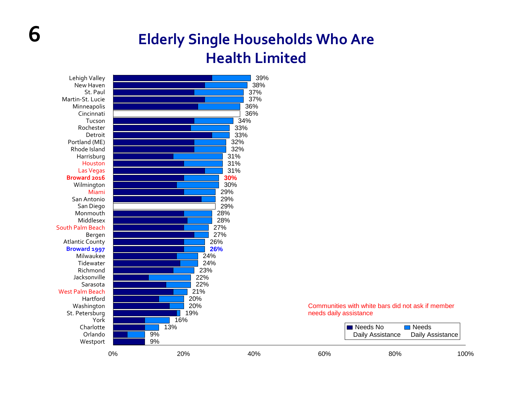#### **Elderly Single Households Who Are Health Limited**

| Houston                |    |            | 31% |                        |                                                   |                      |
|------------------------|----|------------|-----|------------------------|---------------------------------------------------|----------------------|
| <b>Las Vegas</b>       |    |            | 31% |                        |                                                   |                      |
| Broward 2016           |    | 30%        |     |                        |                                                   |                      |
| Wilmington             |    | 30%        |     |                        |                                                   |                      |
| Miami                  |    | 29%        |     |                        |                                                   |                      |
| San Antonio            |    | 29%        |     |                        |                                                   |                      |
| San Diego              |    | 29%        |     |                        |                                                   |                      |
| Monmouth               |    | 28%        |     |                        |                                                   |                      |
| Middlesex              |    | 28%        |     |                        |                                                   |                      |
| South Palm Beach       |    | 27%        |     |                        |                                                   |                      |
| Bergen                 |    | 27%        |     |                        |                                                   |                      |
| <b>Atlantic County</b> |    | 26%        |     |                        |                                                   |                      |
| Broward 1997           |    | 26%        |     |                        |                                                   |                      |
| Milwaukee              |    | 24%        |     |                        |                                                   |                      |
| Tidewater<br>Richmond  |    | 24%<br>23% |     |                        |                                                   |                      |
| Jacksonville           |    | 22%        |     |                        |                                                   |                      |
| Sarasota               |    | 22%        |     |                        |                                                   |                      |
| <b>West Palm Beach</b> |    | 21%        |     |                        |                                                   |                      |
| Hartford               |    | 20%        |     |                        |                                                   |                      |
| Washington             |    | 20%        |     |                        | Communities with white bars did not ask if member |                      |
| St. Petersburg         |    | 19%        |     | needs daily assistance |                                                   |                      |
| York                   |    | 16%        |     |                        |                                                   |                      |
| Charlotte              |    | 13%        |     |                        | Needs No                                          | $\blacksquare$ Needs |
| Orlando                | 9% |            |     |                        | Daily Assistance                                  | Daily Assistance     |
|                        | 9% |            |     |                        |                                                   |                      |
| Westport               |    |            |     |                        |                                                   |                      |
|                        | 0% | 20%        | 40% | 60%                    | 80%                                               | 100%                 |

**6**

|     | I■ Needs No | $\Box$ Needs<br>Daily Assistance Daily Assistance |      |
|-----|-------------|---------------------------------------------------|------|
| 60% | 80%         |                                                   | 100% |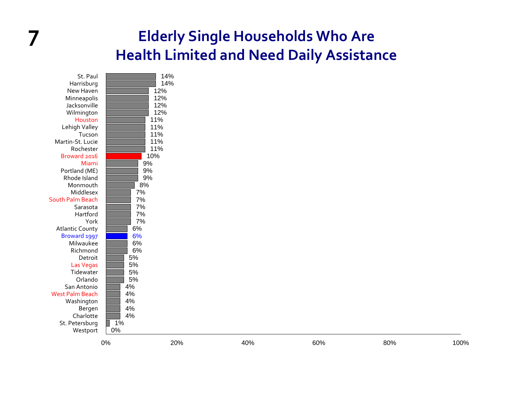#### **7 Elderly Single Households Who Are Health Limited and Need Daily Assistance**

| St. Paul               | 14%      |
|------------------------|----------|
| Harrisburg             | 14%      |
| New Haven              | 12%      |
| Minneapolis            | 12%      |
| Jacksonville           | 12%      |
| Wilmington             | 12%      |
| Houston                | 11%      |
| Lehigh Valley          | 11%      |
| Tucson                 | 11%      |
| Martin-St. Lucie       | 11%      |
| Rochester              | 11%      |
| Broward 2016           | 10%      |
| Miami                  | 9%       |
| Portland (ME)          | 9%       |
| Rhode Island           | 9%       |
| Monmouth               | 8%       |
| Middlesex              | 7%       |
| South Palm Beach       | 7%       |
| Sarasota               | 7%       |
| Hartford               | 7%       |
| York                   | 7%       |
| <b>Atlantic County</b> | 6%       |
| Broward 1997           | 6%       |
| Milwaukee              | 6%       |
| Richmond               | 6%       |
| Detroit                | 5%       |
| Las Vegas              | 5%       |
| Tidewater              | 5%       |
| Orlando                | 5%       |
| San Antonio            | 4%       |
| <b>West Palm Beach</b> | 4%       |
| Washington             | 4%<br>4% |
| Bergen<br>Charlotte    | 4%       |
| St. Petersburg         | 1%       |
| Westport               | 0%       |
|                        |          |
|                        |          |

0% 20% 40% 60% 80% 100%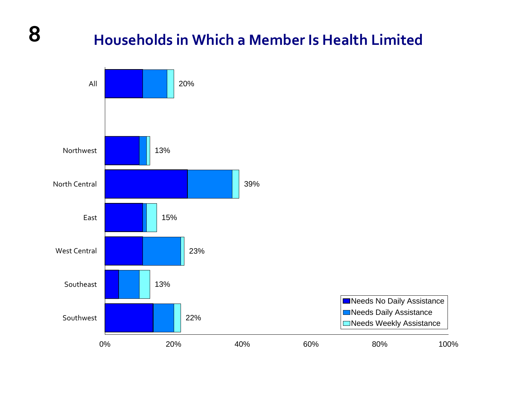#### **Households in Which <sup>a</sup> Member Is Health Limited**

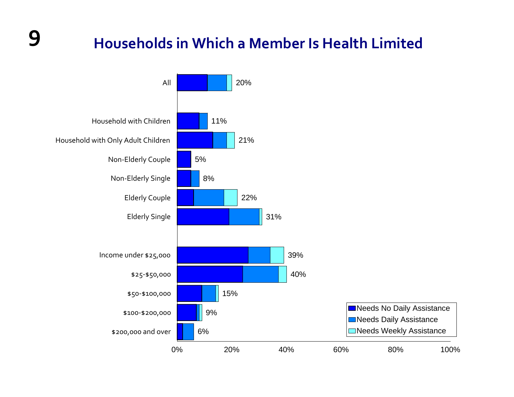## **9 Households in Which <sup>a</sup> Member Is Health Limited**

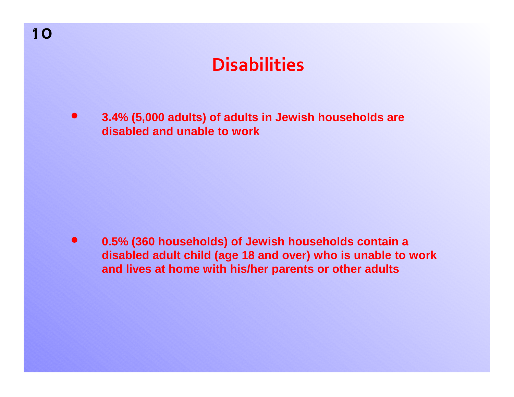### **Disabilities**

**3.4% (5,000 adults) of adults in Jewish households are disabled and unable to work** $\bullet$ 

**0.5% (360 households) of Jewish households contain a disabled adult child (age 18 and over) who is unable to work and lives at home with his/her parents or other adults**  $\bullet$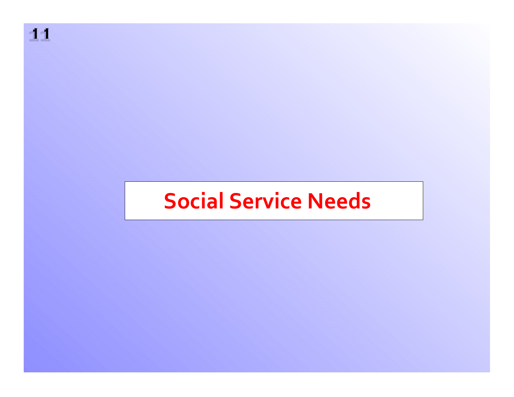**1111**

## **Social Service Needs**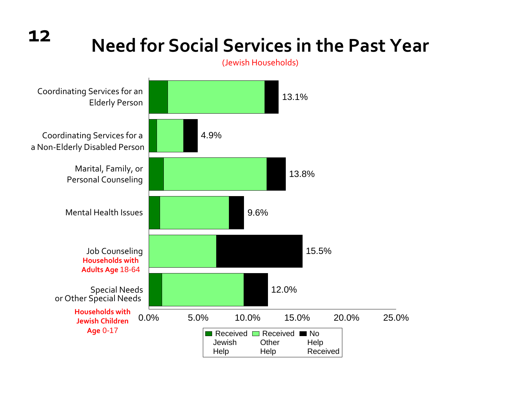**12**

## **Need for Social Services in the Past Year**

(Jewish Households)

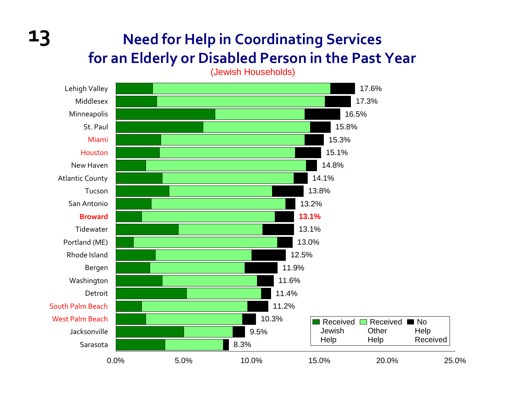#### **13 Need for Help in Coordinating Services for an Elderly or Disabled Person in the Past Year**

(Jewish Households)

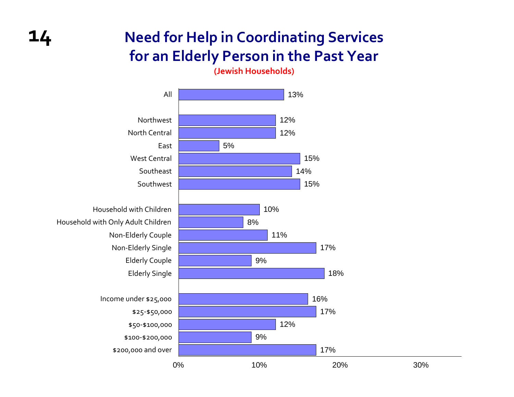#### **Need for Help in Coordinating Services for an Elderly Person in the Past Year**

**(Jewish Households)**



**14**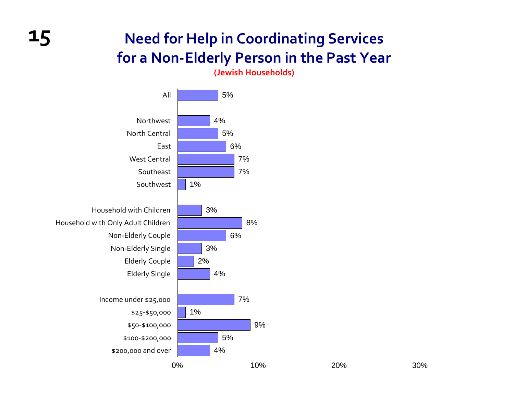#### **Need for Help in Coordinating Services for a Non‐Elderly Person in the Past Year**

**(Jewish Households)**



**15**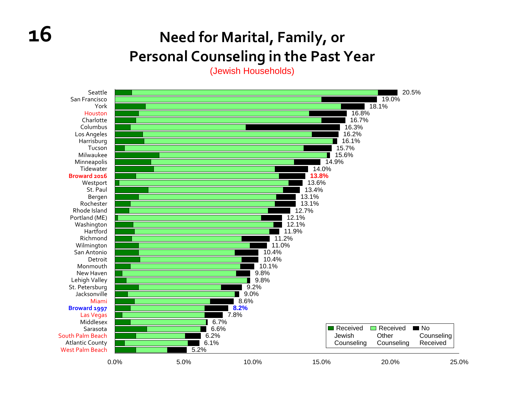#### **Need for Marital, Family, or Personal Counseling in the Past Year**

(Jewish Households)

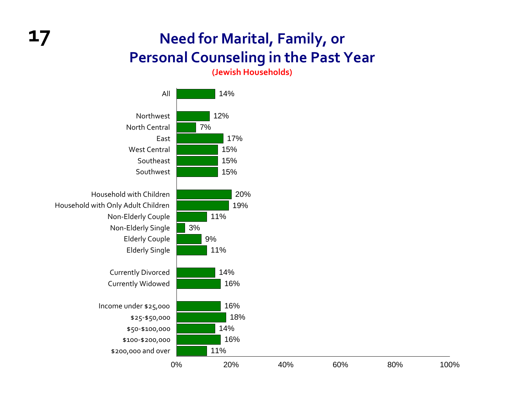#### **17 Need for Marital, Family, or Personal Counseling in the Past Year**

**(Jewish Households)**

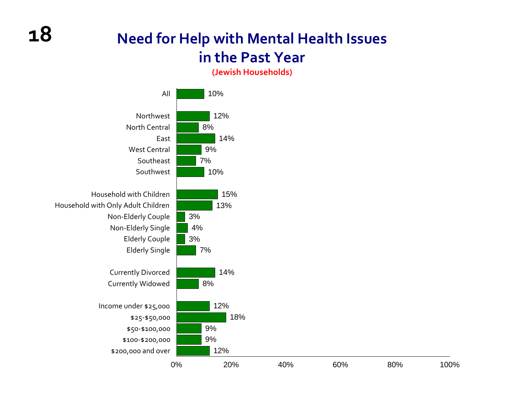#### **Need for Help with Mental Health Issues in the Past Year**

**(Jewish Households)**

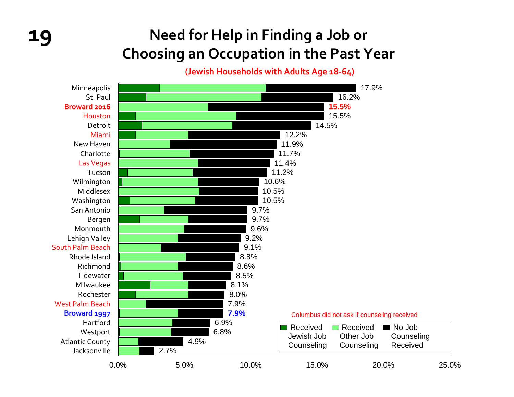### **19 Need for Help in Finding <sup>a</sup> Job or Choosing an Occupation in the Past Year**

**(Jewish Households with Adults Age 18‐64)**

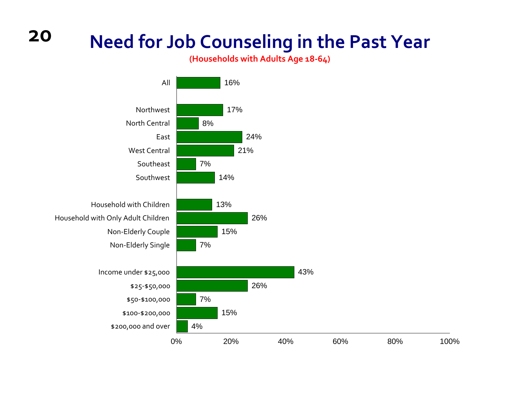### **Need for Job Counseling in the Past Year**

**(Households with Adults Age 18‐64)**



**20**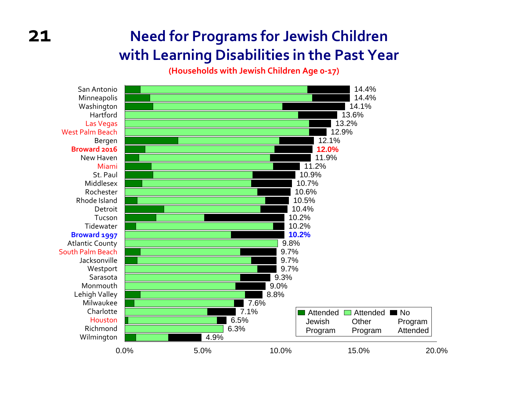#### **Need for Programs for Jewish Children with Learning Disabilities in the Past Year**

**(Households with Jewish Children Age <sup>0</sup>‐17)**

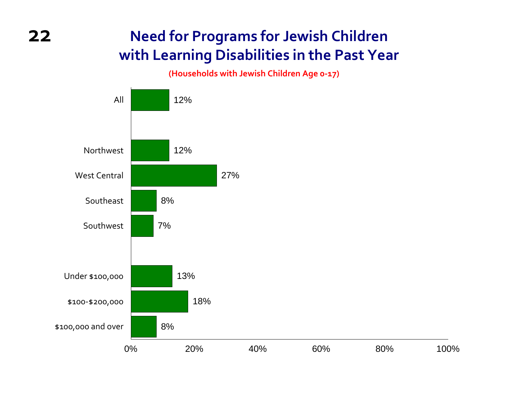#### **Need for Programs for Jewish Children with Learning Disabilities in the Past Year**

**(Households with Jewish Children Age <sup>0</sup>‐17)**

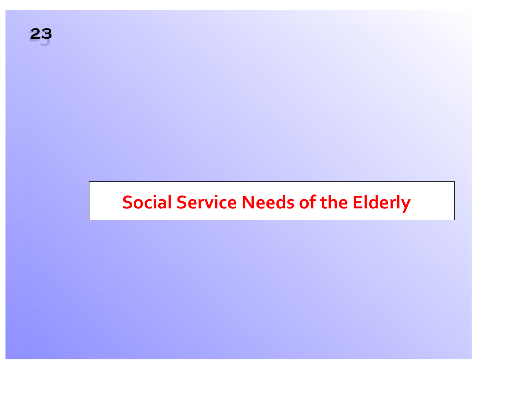## **Social Service Needs of the Elderly**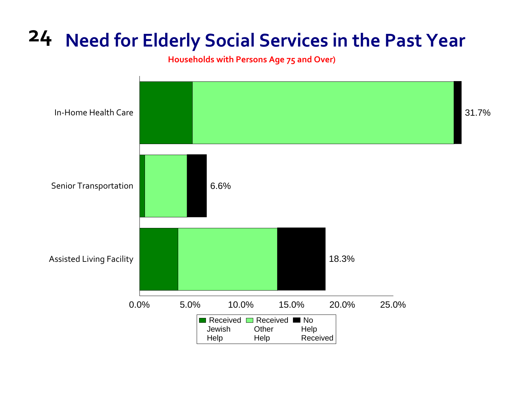## **24 Need for Elderly Social Services in the Past Year**

**Households with Persons Age 75 and Over)**

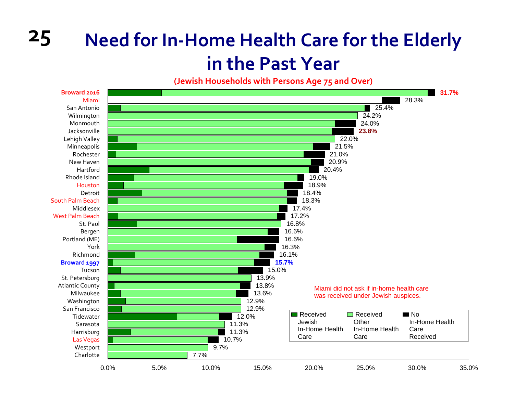## **25 Need for In‐Home Health Care for the Elderly in the Past Year**

**(Jewish Households with Persons Age 75 and Over)**

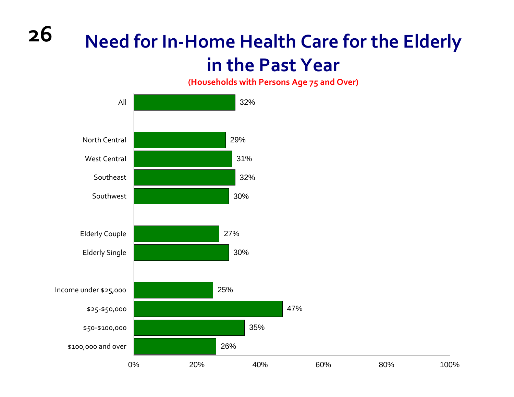## **Need for In‐Home Health Care for the Elderly in the Past Year**

**(Households with Persons Age 75 and Over)**



**26**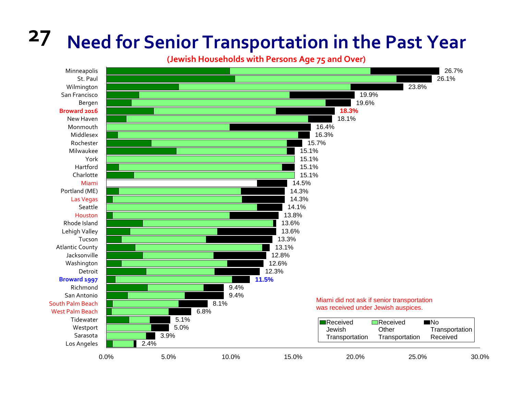## **27 Need for Senior Transportation in the Past Year**

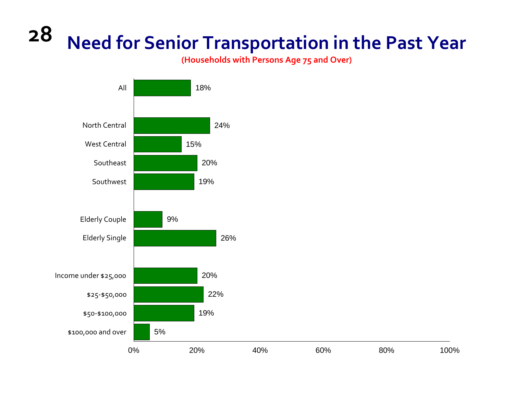#### **28 Need for Senior Transportation in the Past Year**

**(Households with Persons Age 75 and Over)**

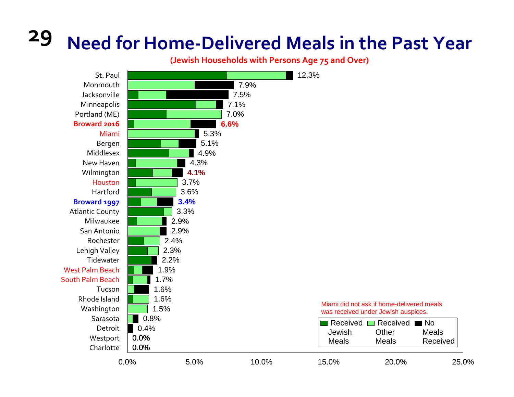# **29 Need for Home‐Delivered Meals in the Past Year**

**(Jewish Households with Persons Age 75 and Over)**

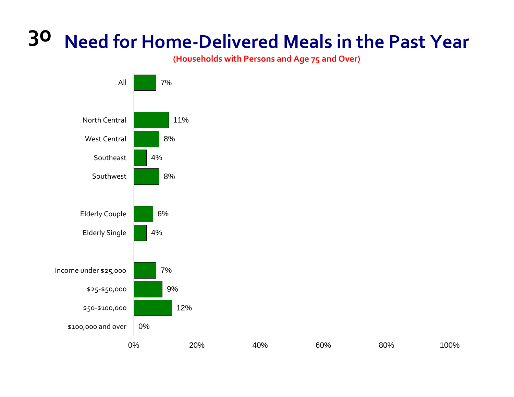#### **30 Need for Home‐Delivered Meals in the Past Year**

**(Households with Persons and Age 75 and Over)**

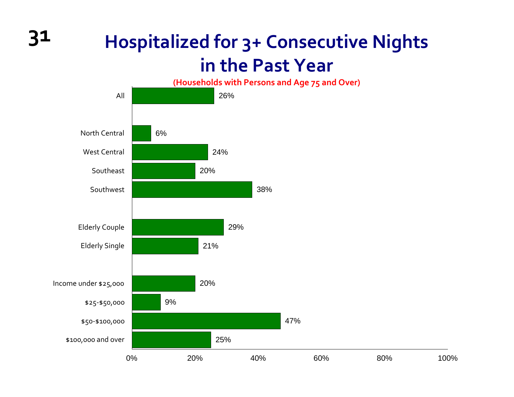### **Hospitalized for 3+ Consecutive Nights in the Past Year**



**31**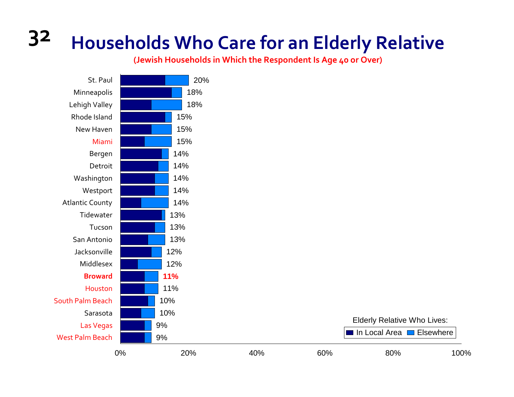# **32 Households Who Care for an Elderly Relative**

**(Jewish Households in Which the Respondent Is Age 40 or Over)**



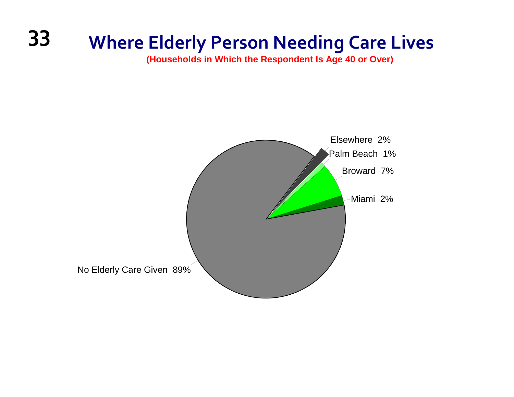## **33 Where Elderly Person Needing Care Lives**

**(Households in Which the Respondent Is Age 40 or Over)**

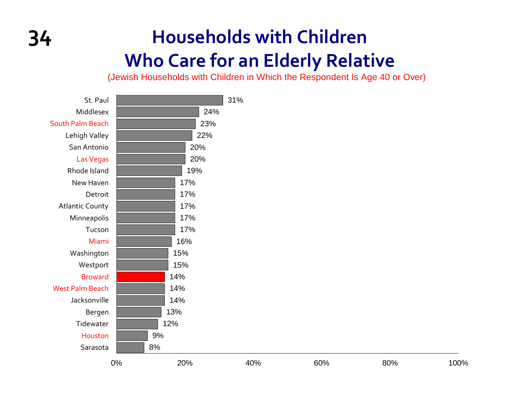## **34 Households with Children Who Care for an Elderly Relative**

(Jewish Households with Children in Which the Respondent Is Age 40 or Over)

| St. Paul               |              | 31% |     |     |      |
|------------------------|--------------|-----|-----|-----|------|
| Middlesex              | 24%          |     |     |     |      |
| South Palm Beach       | 23%          |     |     |     |      |
| Lehigh Valley          | 22%          |     |     |     |      |
| San Antonio            | 20%          |     |     |     |      |
| Las Vegas              | 20%          |     |     |     |      |
| Rhode Island           | 19%          |     |     |     |      |
| New Haven              | 17%          |     |     |     |      |
| Detroit                | 17%          |     |     |     |      |
| <b>Atlantic County</b> | 17%          |     |     |     |      |
| Minneapolis            | 17%          |     |     |     |      |
| Tucson                 | 17%          |     |     |     |      |
| Miami                  | 16%          |     |     |     |      |
| Washington             | 15%          |     |     |     |      |
| Westport               | 15%          |     |     |     |      |
| <b>Broward</b>         | 14%          |     |     |     |      |
| <b>West Palm Beach</b> | 14%          |     |     |     |      |
| Jacksonville           | 14%          |     |     |     |      |
| Bergen                 | 13%          |     |     |     |      |
| Tidewater              | 12%          |     |     |     |      |
| Houston                | 9%           |     |     |     |      |
| Sarasota               | $8%$         |     |     |     |      |
|                        | 20%<br>$0\%$ | 40% | 60% | 80% | 100% |